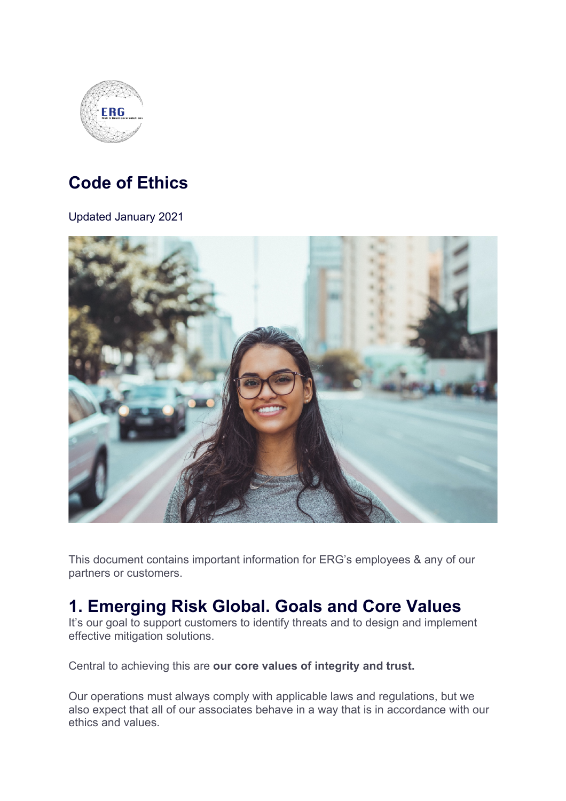

## **Code of Ethics**

Updated January 2021



This document contains important information for ERG's employees & any of our partners or customers.

## **1. Emerging Risk Global. Goals and Core Values**

It's our goal to support customers to identify threats and to design and implement effective mitigation solutions.

Central to achieving this are **our core values of integrity and trust.**

Our operations must always comply with applicable laws and regulations, but we also expect that all of our associates behave in a way that is in accordance with our ethics and values.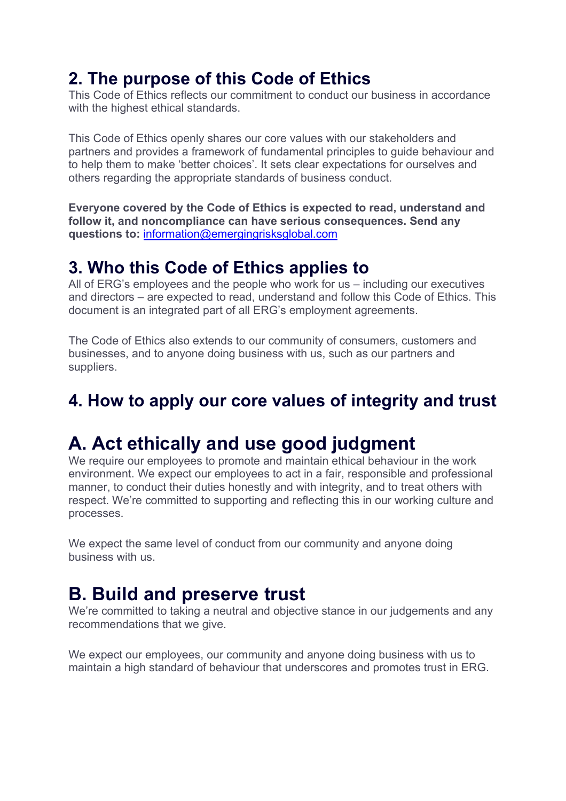## **2. The purpose of this Code of Ethics**

This Code of Ethics reflects our commitment to conduct our business in accordance with the highest ethical standards.

This Code of Ethics openly shares our core values with our stakeholders and partners and provides a framework of fundamental principles to guide behaviour and to help them to make 'better choices'. It sets clear expectations for ourselves and others regarding the appropriate standards of business conduct.

**Everyone covered by the Code of Ethics is expected to read, understand and follow it, and noncompliance can have serious consequences. Send any questions to:** information@emergingrisksglobal.com

#### **3. Who this Code of Ethics applies to**

All of ERG's employees and the people who work for us – including our executives and directors – are expected to read, understand and follow this Code of Ethics. This document is an integrated part of all ERG's employment agreements.

The Code of Ethics also extends to our community of consumers, customers and businesses, and to anyone doing business with us, such as our partners and suppliers.

## **4. How to apply our core values of integrity and trust**

## **A. Act ethically and use good judgment**

We require our employees to promote and maintain ethical behaviour in the work environment. We expect our employees to act in a fair, responsible and professional manner, to conduct their duties honestly and with integrity, and to treat others with respect. We're committed to supporting and reflecting this in our working culture and processes.

We expect the same level of conduct from our community and anyone doing business with us.

## **B. Build and preserve trust**

We're committed to taking a neutral and objective stance in our judgements and any recommendations that we give.

We expect our employees, our community and anyone doing business with us to maintain a high standard of behaviour that underscores and promotes trust in ERG.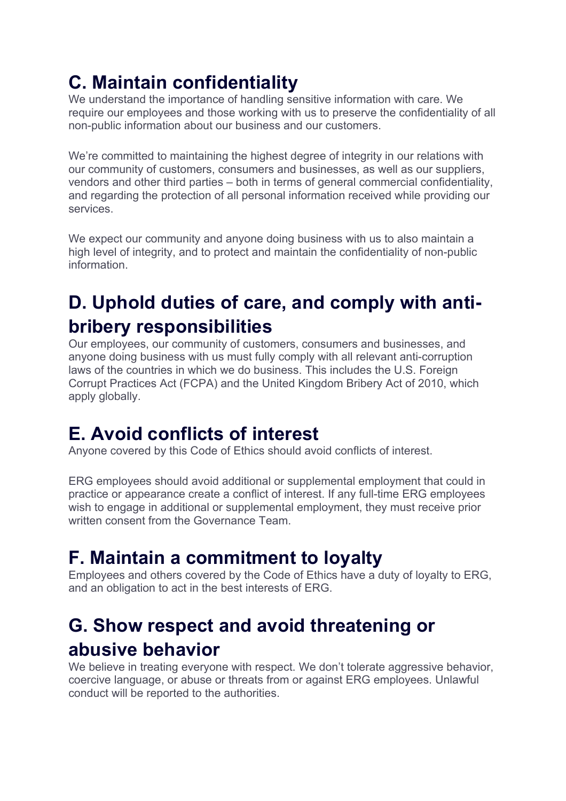# **C. Maintain confidentiality**

We understand the importance of handling sensitive information with care. We require our employees and those working with us to preserve the confidentiality of all non-public information about our business and our customers.

We're committed to maintaining the highest degree of integrity in our relations with our community of customers, consumers and businesses, as well as our suppliers, vendors and other third parties – both in terms of general commercial confidentiality, and regarding the protection of all personal information received while providing our services.

We expect our community and anyone doing business with us to also maintain a high level of integrity, and to protect and maintain the confidentiality of non-public information.

## **D. Uphold duties of care, and comply with antibribery responsibilities**

Our employees, our community of customers, consumers and businesses, and anyone doing business with us must fully comply with all relevant anti-corruption laws of the countries in which we do business. This includes the U.S. Foreign Corrupt Practices Act (FCPA) and the United Kingdom Bribery Act of 2010, which apply globally.

## **E. Avoid conflicts of interest**

Anyone covered by this Code of Ethics should avoid conflicts of interest.

ERG employees should avoid additional or supplemental employment that could in practice or appearance create a conflict of interest. If any full-time ERG employees wish to engage in additional or supplemental employment, they must receive prior written consent from the Governance Team.

# **F. Maintain a commitment to loyalty**

Employees and others covered by the Code of Ethics have a duty of loyalty to ERG, and an obligation to act in the best interests of ERG.

## **G. Show respect and avoid threatening or abusive behavior**

We believe in treating everyone with respect. We don't tolerate aggressive behavior, coercive language, or abuse or threats from or against ERG employees. Unlawful conduct will be reported to the authorities.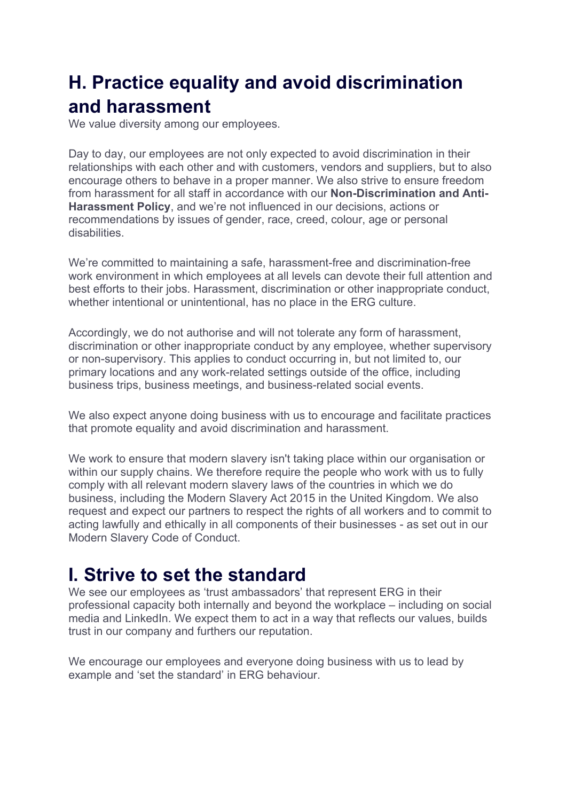## **H. Practice equality and avoid discrimination and harassment**

We value diversity among our employees.

Day to day, our employees are not only expected to avoid discrimination in their relationships with each other and with customers, vendors and suppliers, but to also encourage others to behave in a proper manner. We also strive to ensure freedom from harassment for all staff in accordance with our **Non-Discrimination and Anti-Harassment Policy**, and we're not influenced in our decisions, actions or recommendations by issues of gender, race, creed, colour, age or personal disabilities.

We're committed to maintaining a safe, harassment-free and discrimination-free work environment in which employees at all levels can devote their full attention and best efforts to their jobs. Harassment, discrimination or other inappropriate conduct, whether intentional or unintentional, has no place in the ERG culture.

Accordingly, we do not authorise and will not tolerate any form of harassment, discrimination or other inappropriate conduct by any employee, whether supervisory or non-supervisory. This applies to conduct occurring in, but not limited to, our primary locations and any work-related settings outside of the office, including business trips, business meetings, and business-related social events.

We also expect anyone doing business with us to encourage and facilitate practices that promote equality and avoid discrimination and harassment.

We work to ensure that modern slavery isn't taking place within our organisation or within our supply chains. We therefore require the people who work with us to fully comply with all relevant modern slavery laws of the countries in which we do business, including the Modern Slavery Act 2015 in the United Kingdom. We also request and expect our partners to respect the rights of all workers and to commit to acting lawfully and ethically in all components of their businesses - as set out in our Modern Slavery Code of Conduct.

## **I. Strive to set the standard**

We see our employees as 'trust ambassadors' that represent ERG in their professional capacity both internally and beyond the workplace – including on social media and LinkedIn. We expect them to act in a way that reflects our values, builds trust in our company and furthers our reputation.

We encourage our employees and everyone doing business with us to lead by example and 'set the standard' in ERG behaviour.